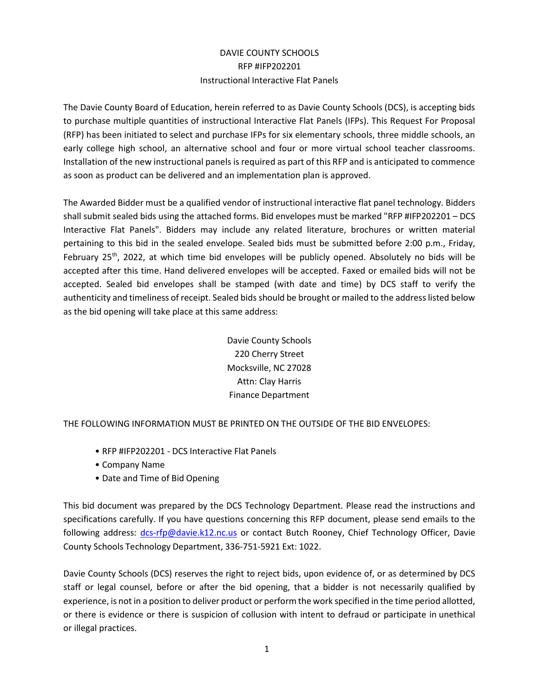# DAVIE COUNTY SCHOOLS RFP #IFP202201 Instructional Interactive Flat Panels

The Davie County Board of Education, herein referred to as Davie County Schools (DCS), is accepting bids to purchase multiple quantities of instructional Interactive Flat Panels (IFPs). This Request For Proposal (RFP) has been initiated to select and purchase IFPs for six elementary schools, three middle schools, an early college high school, an alternative school and four or more virtual school teacher classrooms. Installation of the new instructional panels is required as part of this RFP and is anticipated to commence as soon as product can be delivered and an implementation plan is approved.

The Awarded Bidder must be a qualified vendor of instructional interactive flat panel technology. Bidders shall submit sealed bids using the attached forms. Bid envelopes must be marked "RFP #IFP202201 – DCS Interactive Flat Panels". Bidders may include any related literature, brochures or written material pertaining to this bid in the sealed envelope. Sealed bids must be submitted before 2:00 p.m., Friday, February 25<sup>th</sup>, 2022, at which time bid envelopes will be publicly opened. Absolutely no bids will be accepted after this time. Hand delivered envelopes will be accepted. Faxed or emailed bids will not be accepted. Sealed bid envelopes shall be stamped (with date and time) by DCS staff to verify the authenticity and timeliness of receipt. Sealed bids should be brought or mailed to the address listed below as the bid opening will take place at this same address:

> Davie County Schools 220 Cherry Street Mocksville, NC 27028 Attn: Clay Harris Finance Department

THE FOLLOWING INFORMATION MUST BE PRINTED ON THE OUTSIDE OF THE BID ENVELOPES:

- RFP #IFP202201 DCS Interactive Flat Panels
- Company Name
- Date and Time of Bid Opening

This bid document was prepared by the DCS Technology Department. Please read the instructions and specifications carefully. If you have questions concerning this RFP document, please send emails to the following address: dcs-rfp@davie.k12.nc.us or contact Butch Rooney, Chief Technology Officer, Davie County Schools Technology Department, 336-751-5921 Ext: 1022.

Davie County Schools (DCS) reserves the right to reject bids, upon evidence of, or as determined by DCS staff or legal counsel, before or after the bid opening, that a bidder is not necessarily qualified by experience, is not in a position to deliver product or perform the work specified in the time period allotted, or there is evidence or there is suspicion of collusion with intent to defraud or participate in unethical or illegal practices.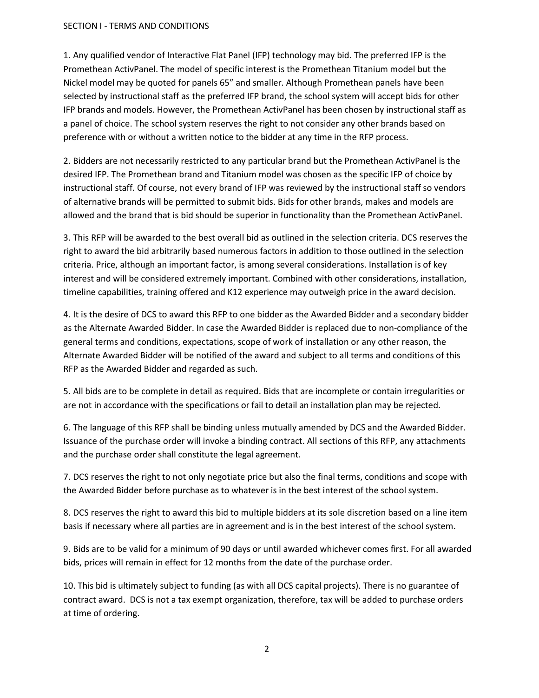### SECTION I - TERMS AND CONDITIONS

1. Any qualified vendor of Interactive Flat Panel (IFP) technology may bid. The preferred IFP is the Promethean ActivPanel. The model of specific interest is the Promethean Titanium model but the Nickel model may be quoted for panels 65" and smaller. Although Promethean panels have been selected by instructional staff as the preferred IFP brand, the school system will accept bids for other IFP brands and models. However, the Promethean ActivPanel has been chosen by instructional staff as a panel of choice. The school system reserves the right to not consider any other brands based on preference with or without a written notice to the bidder at any time in the RFP process.

2. Bidders are not necessarily restricted to any particular brand but the Promethean ActivPanel is the desired IFP. The Promethean brand and Titanium model was chosen as the specific IFP of choice by instructional staff. Of course, not every brand of IFP was reviewed by the instructional staff so vendors of alternative brands will be permitted to submit bids. Bids for other brands, makes and models are allowed and the brand that is bid should be superior in functionality than the Promethean ActivPanel.

3. This RFP will be awarded to the best overall bid as outlined in the selection criteria. DCS reserves the right to award the bid arbitrarily based numerous factors in addition to those outlined in the selection criteria. Price, although an important factor, is among several considerations. Installation is of key interest and will be considered extremely important. Combined with other considerations, installation, timeline capabilities, training offered and K12 experience may outweigh price in the award decision.

4. It is the desire of DCS to award this RFP to one bidder as the Awarded Bidder and a secondary bidder as the Alternate Awarded Bidder. In case the Awarded Bidder is replaced due to non-compliance of the general terms and conditions, expectations, scope of work of installation or any other reason, the Alternate Awarded Bidder will be notified of the award and subject to all terms and conditions of this RFP as the Awarded Bidder and regarded as such.

5. All bids are to be complete in detail as required. Bids that are incomplete or contain irregularities or are not in accordance with the specifications or fail to detail an installation plan may be rejected.

6. The language of this RFP shall be binding unless mutually amended by DCS and the Awarded Bidder. Issuance of the purchase order will invoke a binding contract. All sections of this RFP, any attachments and the purchase order shall constitute the legal agreement.

7. DCS reserves the right to not only negotiate price but also the final terms, conditions and scope with the Awarded Bidder before purchase as to whatever is in the best interest of the school system.

8. DCS reserves the right to award this bid to multiple bidders at its sole discretion based on a line item basis if necessary where all parties are in agreement and is in the best interest of the school system.

9. Bids are to be valid for a minimum of 90 days or until awarded whichever comes first. For all awarded bids, prices will remain in effect for 12 months from the date of the purchase order.

10. This bid is ultimately subject to funding (as with all DCS capital projects). There is no guarantee of contract award. DCS is not a tax exempt organization, therefore, tax will be added to purchase orders at time of ordering.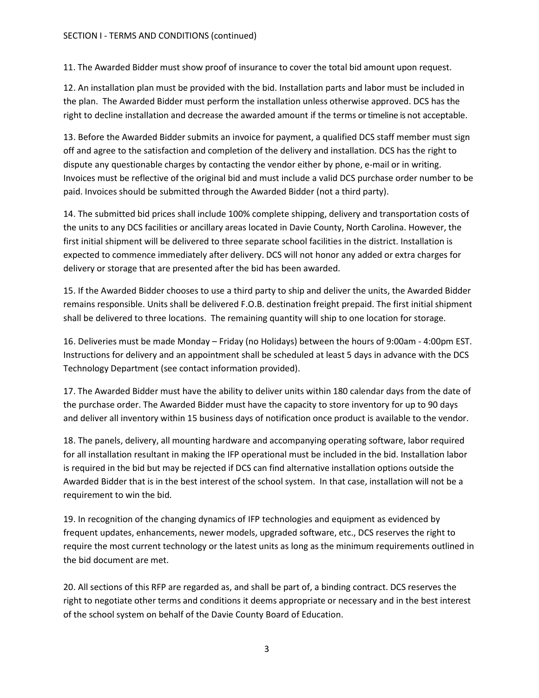11. The Awarded Bidder must show proof of insurance to cover the total bid amount upon request.

12. An installation plan must be provided with the bid. Installation parts and labor must be included in the plan. The Awarded Bidder must perform the installation unless otherwise approved. DCS has the right to decline installation and decrease the awarded amount if the terms or timeline is not acceptable.

13. Before the Awarded Bidder submits an invoice for payment, a qualified DCS staff member must sign off and agree to the satisfaction and completion of the delivery and installation. DCS has the right to dispute any questionable charges by contacting the vendor either by phone, e-mail or in writing. Invoices must be reflective of the original bid and must include a valid DCS purchase order number to be paid. Invoices should be submitted through the Awarded Bidder (not a third party).

14. The submitted bid prices shall include 100% complete shipping, delivery and transportation costs of the units to any DCS facilities or ancillary areas located in Davie County, North Carolina. However, the first initial shipment will be delivered to three separate school facilities in the district. Installation is expected to commence immediately after delivery. DCS will not honor any added or extra charges for delivery or storage that are presented after the bid has been awarded.

15. If the Awarded Bidder chooses to use a third party to ship and deliver the units, the Awarded Bidder remains responsible. Units shall be delivered F.O.B. destination freight prepaid. The first initial shipment shall be delivered to three locations. The remaining quantity will ship to one location for storage.

16. Deliveries must be made Monday – Friday (no Holidays) between the hours of 9:00am - 4:00pm EST. Instructions for delivery and an appointment shall be scheduled at least 5 days in advance with the DCS Technology Department (see contact information provided).

17. The Awarded Bidder must have the ability to deliver units within 180 calendar days from the date of the purchase order. The Awarded Bidder must have the capacity to store inventory for up to 90 days and deliver all inventory within 15 business days of notification once product is available to the vendor.

18. The panels, delivery, all mounting hardware and accompanying operating software, labor required for all installation resultant in making the IFP operational must be included in the bid. Installation labor is required in the bid but may be rejected if DCS can find alternative installation options outside the Awarded Bidder that is in the best interest of the school system. In that case, installation will not be a requirement to win the bid.

19. In recognition of the changing dynamics of IFP technologies and equipment as evidenced by frequent updates, enhancements, newer models, upgraded software, etc., DCS reserves the right to require the most current technology or the latest units as long as the minimum requirements outlined in the bid document are met.

20. All sections of this RFP are regarded as, and shall be part of, a binding contract. DCS reserves the right to negotiate other terms and conditions it deems appropriate or necessary and in the best interest of the school system on behalf of the Davie County Board of Education.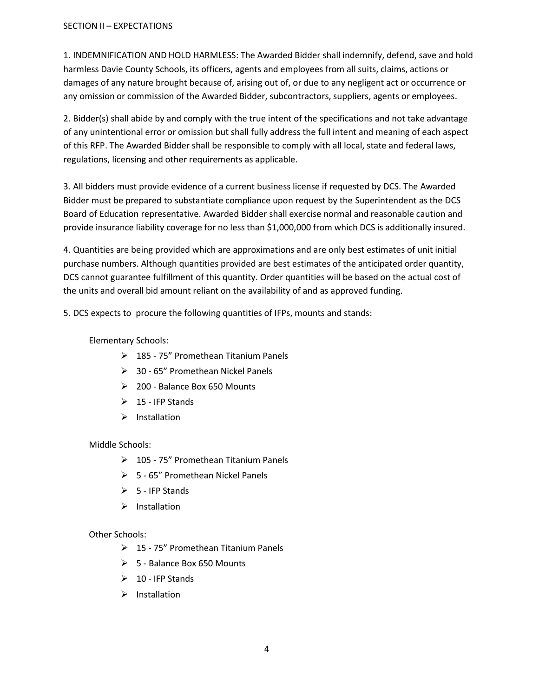## SECTION II – EXPECTATIONS

1. INDEMNIFICATION AND HOLD HARMLESS: The Awarded Bidder shall indemnify, defend, save and hold harmless Davie County Schools, its officers, agents and employees from all suits, claims, actions or damages of any nature brought because of, arising out of, or due to any negligent act or occurrence or any omission or commission of the Awarded Bidder, subcontractors, suppliers, agents or employees.

2. Bidder(s) shall abide by and comply with the true intent of the specifications and not take advantage of any unintentional error or omission but shall fully address the full intent and meaning of each aspect of this RFP. The Awarded Bidder shall be responsible to comply with all local, state and federal laws, regulations, licensing and other requirements as applicable.

3. All bidders must provide evidence of a current business license if requested by DCS. The Awarded Bidder must be prepared to substantiate compliance upon request by the Superintendent as the DCS Board of Education representative. Awarded Bidder shall exercise normal and reasonable caution and provide insurance liability coverage for no less than \$1,000,000 from which DCS is additionally insured.

4. Quantities are being provided which are approximations and are only best estimates of unit initial purchase numbers. Although quantities provided are best estimates of the anticipated order quantity, DCS cannot guarantee fulfillment of this quantity. Order quantities will be based on the actual cost of the units and overall bid amount reliant on the availability of and as approved funding.

5. DCS expects to procure the following quantities of IFPs, mounts and stands:

## Elementary Schools:

- $\geq$  185 75" Promethean Titanium Panels
- > 30 65" Promethean Nickel Panels
- 200 Balance Box 650 Mounts
- $\geq 15$  IFP Stands
- $\triangleright$  Installation

## Middle Schools:

- $\geq 105 75$ " Promethean Titanium Panels
- $> 5 65$ " Promethean Nickel Panels
- $\triangleright$  5 IFP Stands
- $\triangleright$  Installation

## Other Schools:

- 15 75" Promethean Titanium Panels
- $\geq 5$  Balance Box 650 Mounts
- $\geq 10$  IFP Stands
- $\triangleright$  Installation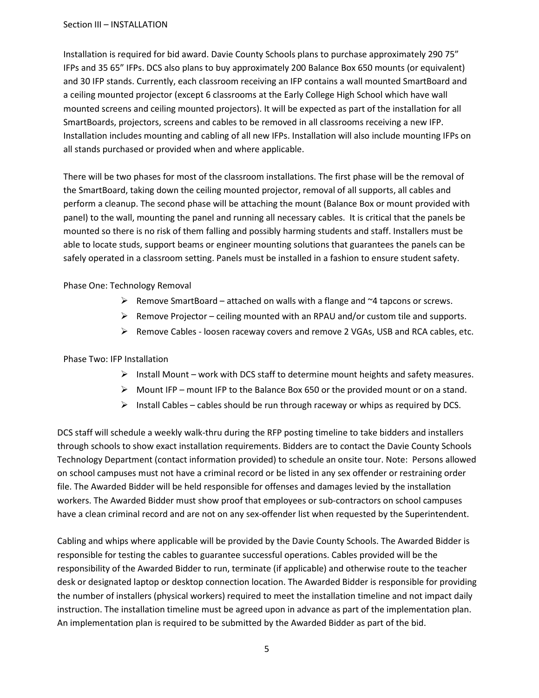Installation is required for bid award. Davie County Schools plans to purchase approximately 290 75" IFPs and 35 65" IFPs. DCS also plans to buy approximately 200 Balance Box 650 mounts (or equivalent) and 30 IFP stands. Currently, each classroom receiving an IFP contains a wall mounted SmartBoard and a ceiling mounted projector (except 6 classrooms at the Early College High School which have wall mounted screens and ceiling mounted projectors). It will be expected as part of the installation for all SmartBoards, projectors, screens and cables to be removed in all classrooms receiving a new IFP. Installation includes mounting and cabling of all new IFPs. Installation will also include mounting IFPs on all stands purchased or provided when and where applicable.

There will be two phases for most of the classroom installations. The first phase will be the removal of the SmartBoard, taking down the ceiling mounted projector, removal of all supports, all cables and perform a cleanup. The second phase will be attaching the mount (Balance Box or mount provided with panel) to the wall, mounting the panel and running all necessary cables. It is critical that the panels be mounted so there is no risk of them falling and possibly harming students and staff. Installers must be able to locate studs, support beams or engineer mounting solutions that guarantees the panels can be safely operated in a classroom setting. Panels must be installed in a fashion to ensure student safety.

## Phase One: Technology Removal

- $\triangleright$  Remove SmartBoard attached on walls with a flange and  $\sim$ 4 tapcons or screws.
- $\triangleright$  Remove Projector ceiling mounted with an RPAU and/or custom tile and supports.
- $\triangleright$  Remove Cables loosen raceway covers and remove 2 VGAs, USB and RCA cables, etc.

## Phase Two: IFP Installation

- $\triangleright$  Install Mount work with DCS staff to determine mount heights and safety measures.
- $\triangleright$  Mount IFP mount IFP to the Balance Box 650 or the provided mount or on a stand.
- $\triangleright$  Install Cables cables should be run through raceway or whips as required by DCS.

DCS staff will schedule a weekly walk-thru during the RFP posting timeline to take bidders and installers through schools to show exact installation requirements. Bidders are to contact the Davie County Schools Technology Department (contact information provided) to schedule an onsite tour. Note: Persons allowed on school campuses must not have a criminal record or be listed in any sex offender or restraining order file. The Awarded Bidder will be held responsible for offenses and damages levied by the installation workers. The Awarded Bidder must show proof that employees or sub-contractors on school campuses have a clean criminal record and are not on any sex-offender list when requested by the Superintendent.

Cabling and whips where applicable will be provided by the Davie County Schools. The Awarded Bidder is responsible for testing the cables to guarantee successful operations. Cables provided will be the responsibility of the Awarded Bidder to run, terminate (if applicable) and otherwise route to the teacher desk or designated laptop or desktop connection location. The Awarded Bidder is responsible for providing the number of installers (physical workers) required to meet the installation timeline and not impact daily instruction. The installation timeline must be agreed upon in advance as part of the implementation plan. An implementation plan is required to be submitted by the Awarded Bidder as part of the bid.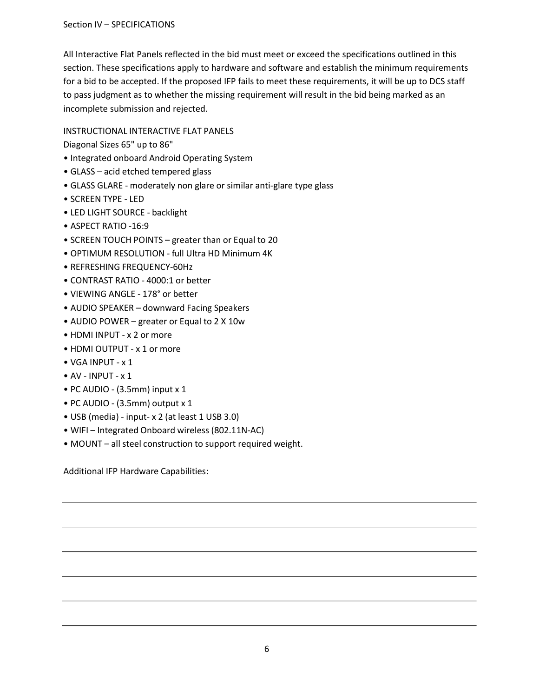All Interactive Flat Panels reflected in the bid must meet or exceed the specifications outlined in this section. These specifications apply to hardware and software and establish the minimum requirements for a bid to be accepted. If the proposed IFP fails to meet these requirements, it will be up to DCS staff to pass judgment as to whether the missing requirement will result in the bid being marked as an incomplete submission and rejected.

## INSTRUCTIONAL INTERACTIVE FLAT PANELS

Diagonal Sizes 65" up to 86"

- Integrated onboard Android Operating System
- GLASS acid etched tempered glass
- GLASS GLARE moderately non glare or similar anti-glare type glass
- SCREEN TYPE LED
- LED LIGHT SOURCE backlight
- ASPECT RATIO -16:9
- SCREEN TOUCH POINTS greater than or Equal to 20
- OPTIMUM RESOLUTION full Ultra HD Minimum 4K
- REFRESHING FREQUENCY-60Hz
- CONTRAST RATIO 4000:1 or better
- VIEWING ANGLE 178° or better
- AUDIO SPEAKER downward Facing Speakers
- AUDIO POWER greater or Equal to 2 X 10w
- HDMI INPUT x 2 or more
- HDMI OUTPUT x 1 or more
- VGA INPUT x 1
- $\bullet$  AV INPUT  $\times$  1
- PC AUDIO (3.5mm) input x 1
- PC AUDIO (3.5mm) output x 1
- USB (media) input- x 2 (at least 1 USB 3.0)
- WIFI Integrated Onboard wireless (802.11N-AC)
- MOUNT all steel construction to support required weight.

Additional IFP Hardware Capabilities: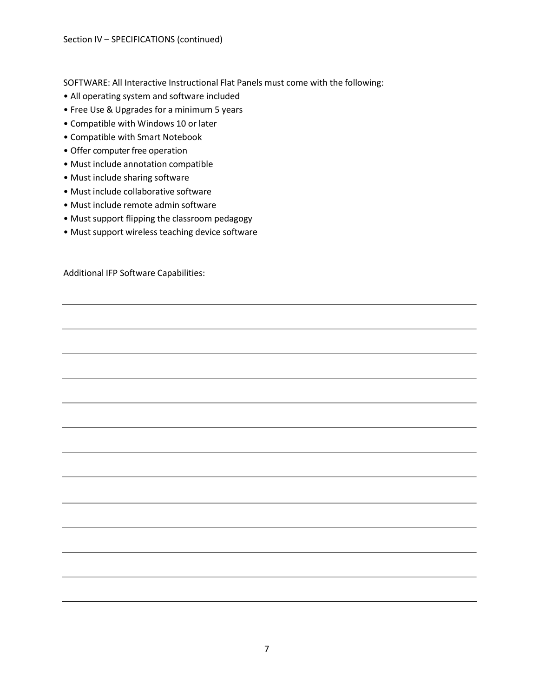SOFTWARE: All Interactive Instructional Flat Panels must come with the following:

- All operating system and software included
- Free Use & Upgrades for a minimum 5 years
- Compatible with Windows 10 or later
- Compatible with Smart Notebook
- Offer computer free operation
- Must include annotation compatible
- Must include sharing software
- Must include collaborative software
- Must include remote admin software
- Must support flipping the classroom pedagogy
- Must support wireless teaching device software

Additional IFP Software Capabilities: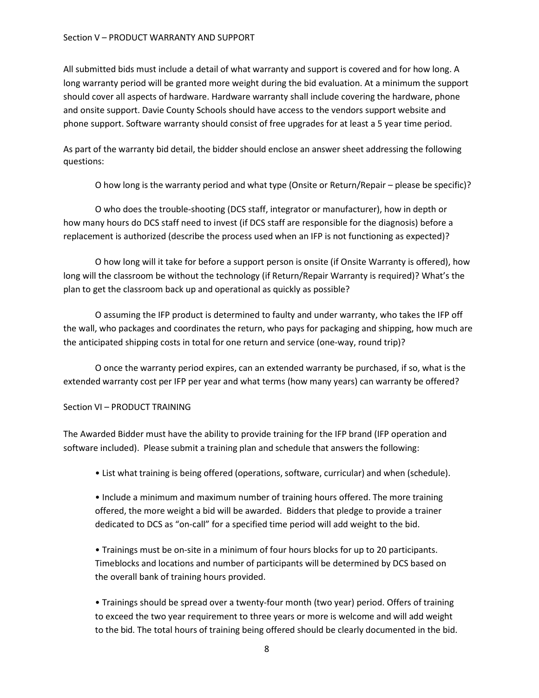#### Section V – PRODUCT WARRANTY AND SUPPORT

All submitted bids must include a detail of what warranty and support is covered and for how long. A long warranty period will be granted more weight during the bid evaluation. At a minimum the support should cover all aspects of hardware. Hardware warranty shall include covering the hardware, phone and onsite support. Davie County Schools should have access to the vendors support website and phone support. Software warranty should consist of free upgrades for at least a 5 year time period.

As part of the warranty bid detail, the bidder should enclose an answer sheet addressing the following questions:

O how long is the warranty period and what type (Onsite or Return/Repair – please be specific)?

O who does the trouble-shooting (DCS staff, integrator or manufacturer), how in depth or how many hours do DCS staff need to invest (if DCS staff are responsible for the diagnosis) before a replacement is authorized (describe the process used when an IFP is not functioning as expected)?

O how long will it take for before a support person is onsite (if Onsite Warranty is offered), how long will the classroom be without the technology (if Return/Repair Warranty is required)? What's the plan to get the classroom back up and operational as quickly as possible?

O assuming the IFP product is determined to faulty and under warranty, who takes the IFP off the wall, who packages and coordinates the return, who pays for packaging and shipping, how much are the anticipated shipping costs in total for one return and service (one-way, round trip)?

O once the warranty period expires, can an extended warranty be purchased, if so, what is the extended warranty cost per IFP per year and what terms (how many years) can warranty be offered?

#### Section VI – PRODUCT TRAINING

The Awarded Bidder must have the ability to provide training for the IFP brand (IFP operation and software included). Please submit a training plan and schedule that answers the following:

• List what training is being offered (operations, software, curricular) and when (schedule).

• Include a minimum and maximum number of training hours offered. The more training offered, the more weight a bid will be awarded. Bidders that pledge to provide a trainer dedicated to DCS as "on-call" for a specified time period will add weight to the bid.

• Trainings must be on-site in a minimum of four hours blocks for up to 20 participants. Time blocks and locations and number of participants will be determined by DCS based on the overall bank of training hours provided.

• Trainings should be spread over a twenty-four month (two year) period. Offers of training to exceed the two year requirement to three years or more is welcome and will add weight to the bid. The total hours of training being offered should be clearly documented in the bid.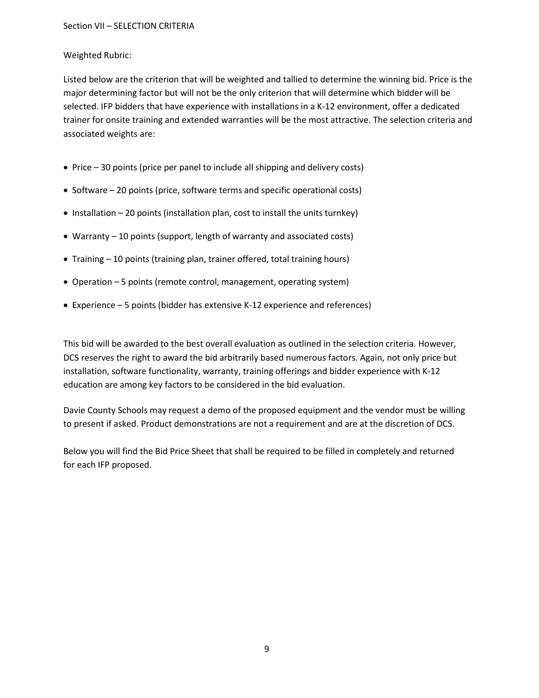## Weighted Rubric:

Listed below are the criterion that will be weighted and tallied to determine the winning bid. Price is the major determining factor but will not be the only criterion that will determine which bidder will be selected. IFP bidders that have experience with installations in a K-12 environment, offer a dedicated trainer for onsite training and extended warranties will be the most attractive. The selection criteria and associated weights are:

- Price 30 points (price per panel to include all shipping and delivery costs)
- Software 20 points (price, software terms and specific operational costs)
- $\bullet$  Installation 20 points (installation plan, cost to install the units turnkey)
- Warranty 10 points (support, length of warranty and associated costs)
- Training 10 points (training plan, trainer offered, total training hours)
- Operation 5 points (remote control, management, operating system)
- Experience 5 points (bidder has extensive K-12 experience and references)

This bid will be awarded to the best overall evaluation as outlined in the selection criteria. However, DCS reserves the right to award the bid arbitrarily based numerous factors. Again, not only price but installation, software functionality, warranty, training offerings and bidder experience with K-12 education are among key factors to be considered in the bid evaluation.

Davie County Schools may request a demo of the proposed equipment and the vendor must be willing to present if asked. Product demonstrations are not a requirement and are at the discretion of DCS.

Below you will find the Bid Price Sheet that shall be required to be filled in completely and returned for each IFP proposed.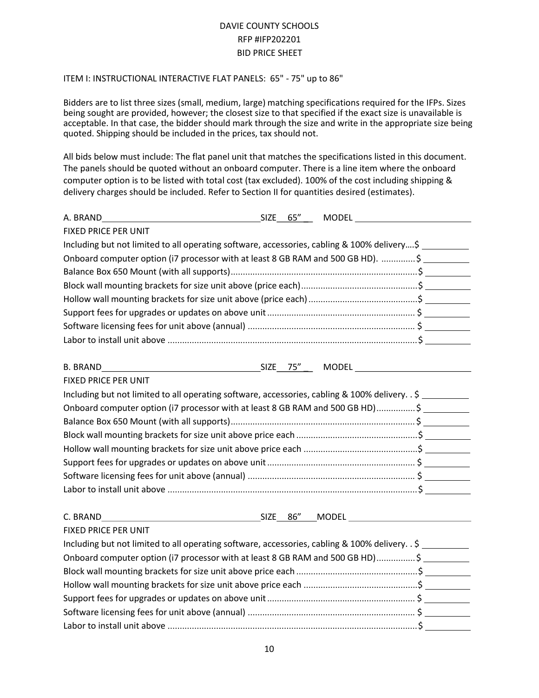# DAVIE COUNTY SCHOOLS RFP #IFP202201 BID PRICE SHEET

## ITEM I: INSTRUCTIONAL INTERACTIVE FLAT PANELS: 65" - 75" up to 86"

Bidders are to list three sizes (small, medium, large) matching specifications required for the IFPs. Sizes being sought are provided, however; the closest size to that specified if the exact size is unavailable is acceptable. In that case, the bidder should mark through the size and write in the appropriate size being quoted. Shipping should be included in the prices, tax should not.

All bids below must include: The flat panel unit that matches the specifications listed in this document. The panels should be quoted without an onboard computer. There is a line item where the onboard computer option is to be listed with total cost (tax excluded). 100% of the cost including shipping & delivery charges should be included. Refer to Section II for quantities desired (estimates).

| A. BRAND                                                                                        | SIZE 65" |  | <b>MODEL MODEL</b> |  |
|-------------------------------------------------------------------------------------------------|----------|--|--------------------|--|
| FIXED PRICE PER UNIT                                                                            |          |  |                    |  |
| Including but not limited to all operating software, accessories, cabling & 100% delivery\$     |          |  |                    |  |
| Onboard computer option (i7 processor with at least 8 GB RAM and 500 GB HD). \$                 |          |  |                    |  |
|                                                                                                 |          |  |                    |  |
|                                                                                                 |          |  |                    |  |
|                                                                                                 |          |  |                    |  |
|                                                                                                 |          |  |                    |  |
|                                                                                                 |          |  |                    |  |
|                                                                                                 |          |  |                    |  |
| <b>B. BRAND</b>                                                                                 |          |  |                    |  |
| FIXED PRICE PER UNIT                                                                            |          |  |                    |  |
| Including but not limited to all operating software, accessories, cabling & 100% delivery. . \$ |          |  |                    |  |
| Onboard computer option (i7 processor with at least 8 GB RAM and 500 GB HD)\$                   |          |  |                    |  |
|                                                                                                 |          |  |                    |  |
|                                                                                                 |          |  |                    |  |
|                                                                                                 |          |  |                    |  |
|                                                                                                 |          |  |                    |  |
|                                                                                                 |          |  |                    |  |
|                                                                                                 |          |  |                    |  |
| C. BRAND                                                                                        |          |  | SIZE 86" MODEL     |  |
| FIXED PRICE PER UNIT                                                                            |          |  |                    |  |
| Including but not limited to all operating software, accessories, cabling & 100% delivery. . \$ |          |  |                    |  |
| Onboard computer option (i7 processor with at least 8 GB RAM and 500 GB HD)\$                   |          |  |                    |  |
|                                                                                                 |          |  |                    |  |
|                                                                                                 |          |  |                    |  |
|                                                                                                 |          |  |                    |  |
|                                                                                                 |          |  |                    |  |
|                                                                                                 |          |  |                    |  |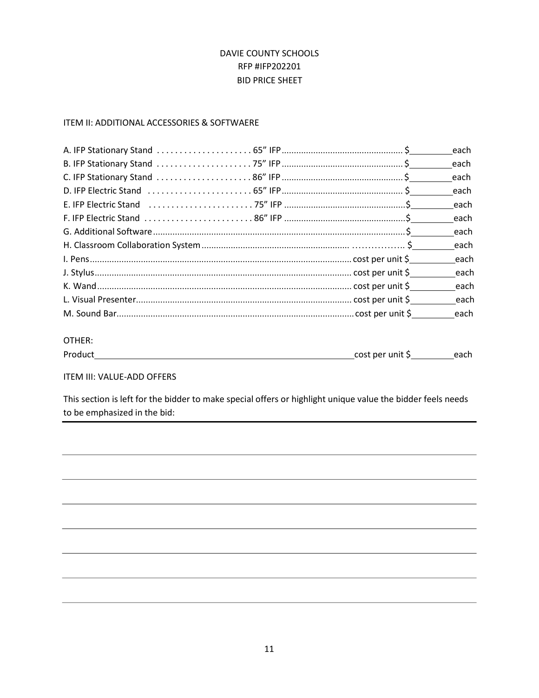# DAVIE COUNTY SCHOOLS RFP #IFP202201 BID PRICE SHEET

## ITEM II: ADDITIONAL ACCESSORIES & SOFTWAERE

|  | each |
|--|------|
|  | each |
|  |      |
|  |      |
|  |      |
|  |      |
|  |      |
|  |      |

### OTHER:

| Product | cost<br>∷ner unit i |  |
|---------|---------------------|--|
|         |                     |  |

#### ITEM III: VALUE-ADD OFFERS

This section is left for the bidder to make special offers or highlight unique value the bidder feels needs to be emphasized in the bid: